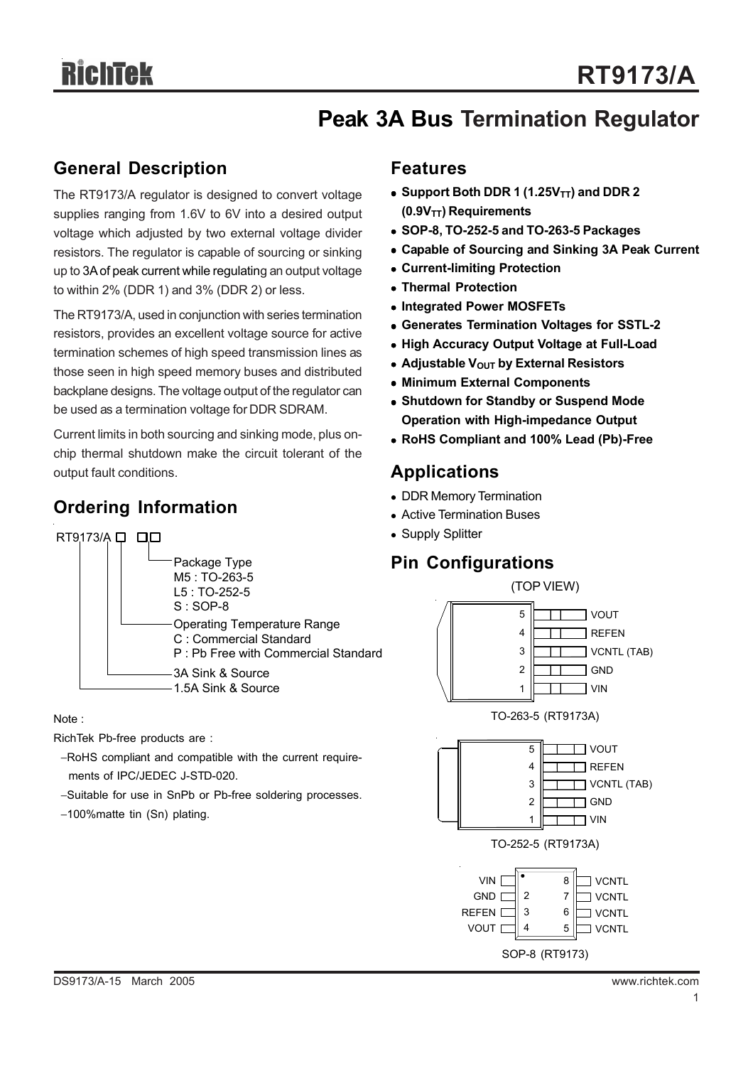## **Peak 3A Bus Termination Regulator**

## **General Description**

The RT9173/A regulator is designed to convert voltage supplies ranging from 1.6V to 6V into a desired output voltage which adjusted by two external voltage divider resistors. The regulator is capable of sourcing or sinking up to 3A of peak current while regulating an output voltage to within 2% (DDR 1) and 3% (DDR 2) or less.

The RT9173/A, used in conjunction with series termination resistors, provides an excellent voltage source for active termination schemes of high speed transmission lines as those seen in high speed memory buses and distributed backplane designs. The voltage output of the regulator can be used as a termination voltage for DDR SDRAM.

Current limits in both sourcing and sinking mode, plus onchip thermal shutdown make the circuit tolerant of the output fault conditions.

## **Ordering Information**



Note :

RichTek Pb-free products are :

- −RoHS compliant and compatible with the current require ments of IPC/JEDEC J-STD-020.
- −Suitable for use in SnPb or Pb-free soldering processes.
- −100%matte tin (Sn) plating.

### **Features**

- $\bullet$  Support Both DDR 1 (1.25V<sub>TT</sub>) and DDR 2 **(0.9VTT) Requirements**
- <sup>z</sup> **SOP-8, TO-252-5 and TO-263-5 Packages**
- **Capable of Sourcing and Sinking 3A Peak Current**
- **Current-limiting Protection**
- <sup>z</sup> **Thermal Protection**
- <sup>z</sup> **Integrated Power MOSFETs**
- **Generates Termination Voltages for SSTL-2**
- **High Accuracy Output Voltage at Full-Load**
- **Adjustable V<sub>OUT</sub> by External Resistors**
- **Minimum External Components**
- **Shutdown for Standby or Suspend Mode Operation with High-impedance Output**
- <sup>z</sup> **RoHS Compliant and 100% Lead (Pb)-Free**

## **Applications**

- DDR Memory Termination
- Active Termination Buses
- Supply Splitter

## **Pin Configurations**

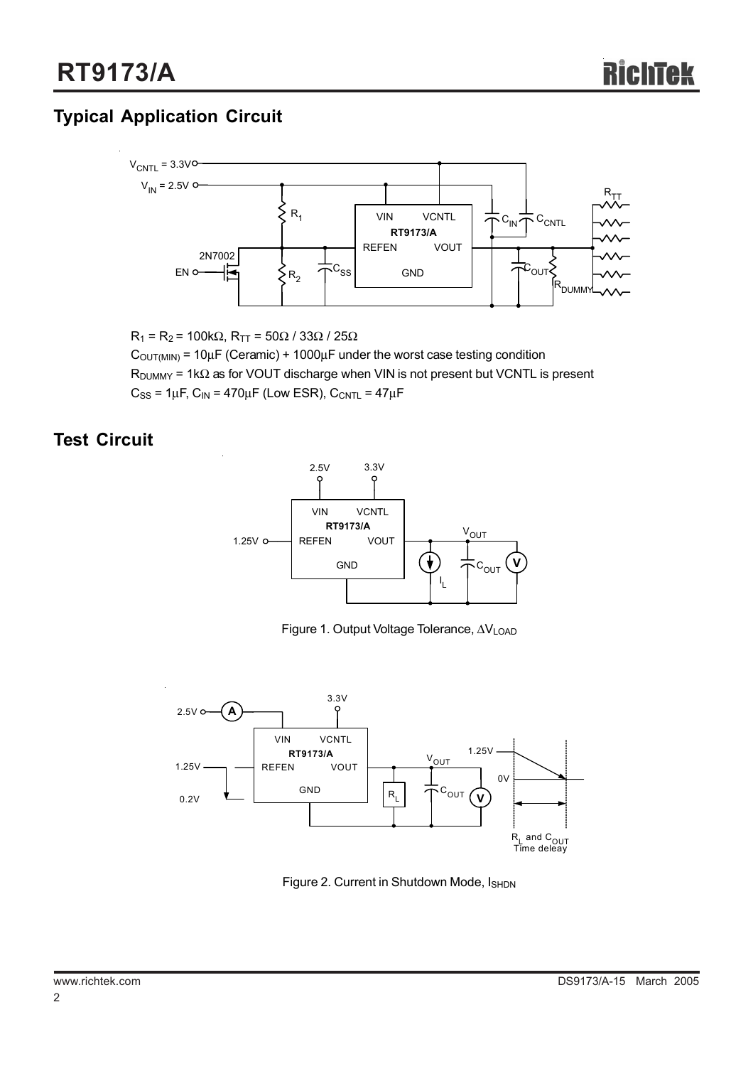## **Typical Application Circuit**



 $R_1$  = R<sub>2</sub> = 100kΩ, R<sub>TT</sub> = 50Ω / 33Ω / 25Ω

 $C<sub>OUT(MIN)</sub> = 10<sub>µ</sub>F (Ceramic) + 1000<sub>µ</sub>F under the worst case testing condition$  $R_{\text{DUMMY}}$  = 1k $\Omega$  as for VOUT discharge when VIN is not present but VCNTL is present  $C_{SS}$  = 1 $\mu$ F, C<sub>IN</sub> = 470 $\mu$ F (Low ESR), C<sub>CNTL</sub> = 47 $\mu$ F

## **Test Circuit**



Figure 1. Output Voltage Tolerance, ∆VLOAD



Figure 2. Current in Shutdown Mode, ISHDN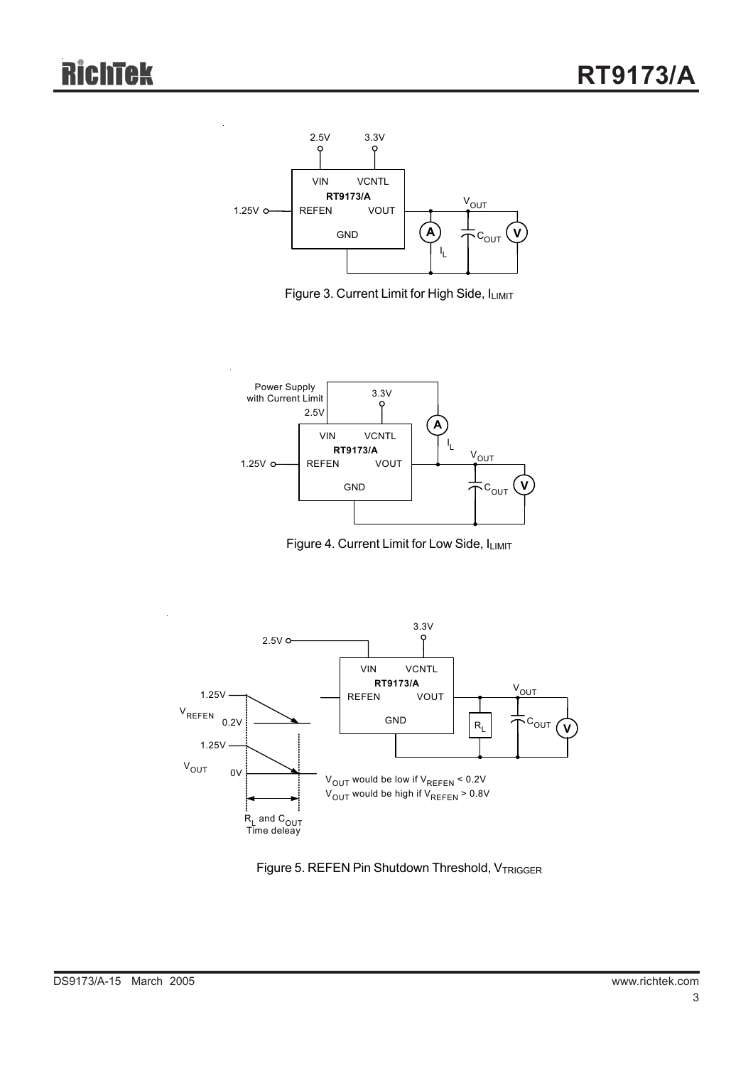

Figure 3. Current Limit for High Side, ILIMIT



Figure 4. Current Limit for Low Side, ILIMIT



Figure 5. REFEN Pin Shutdown Threshold, VTRIGGER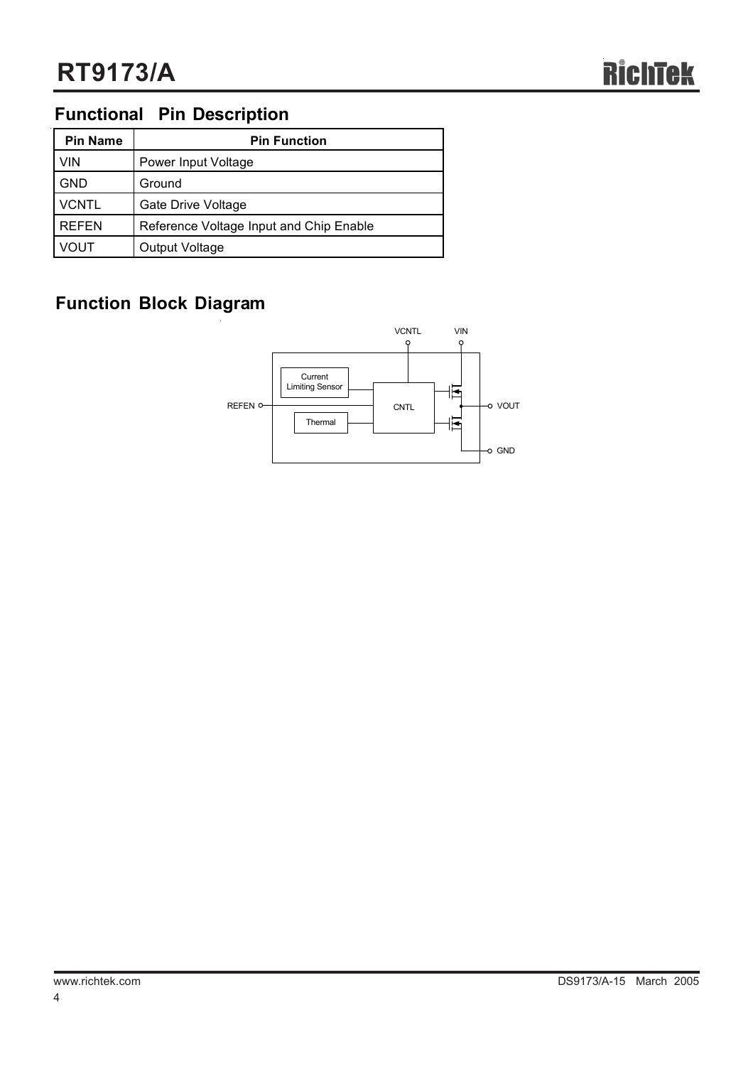## **Functional Pin Description**

| <b>Pin Name</b> | <b>Pin Function</b>                     |  |  |  |
|-----------------|-----------------------------------------|--|--|--|
| <b>VIN</b>      | Power Input Voltage                     |  |  |  |
| <b>GND</b>      | Ground                                  |  |  |  |
| <b>VCNTL</b>    | Gate Drive Voltage                      |  |  |  |
| <b>REFEN</b>    | Reference Voltage Input and Chip Enable |  |  |  |
| 'OUT            | Output Voltage                          |  |  |  |

## **Function Block Diagram**

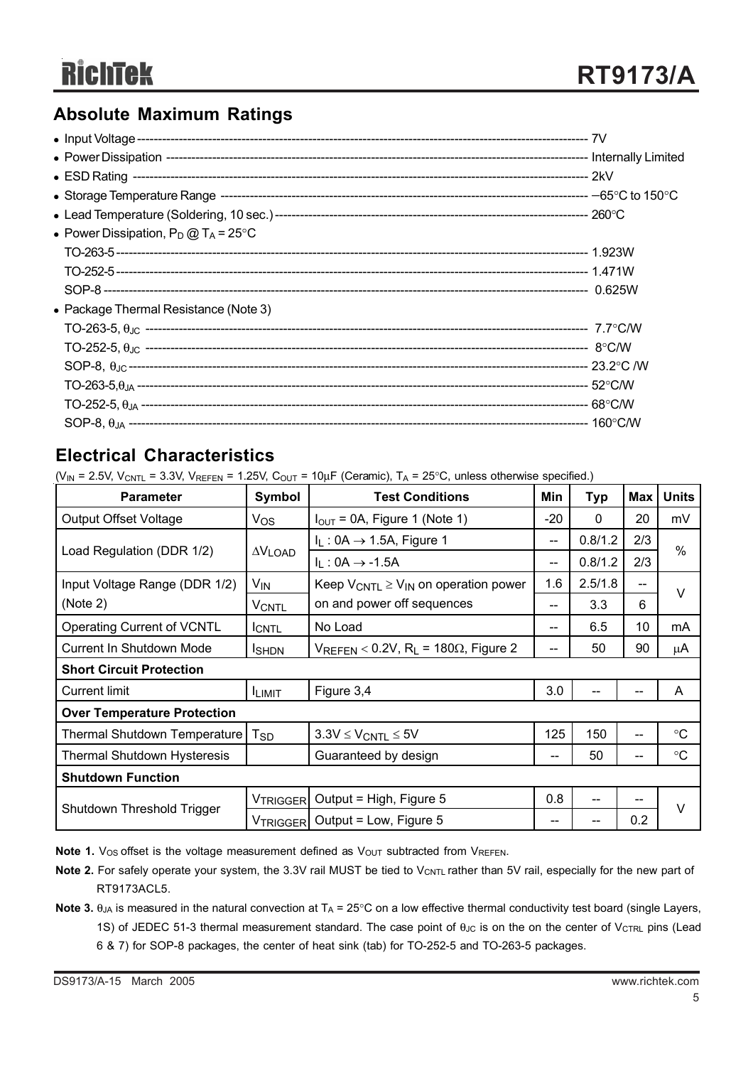## **Absolute Maximum Ratings**

| • Power Dissipation, $P_D @ T_A = 25^{\circ}C$ |  |
|------------------------------------------------|--|
|                                                |  |
|                                                |  |
|                                                |  |
| • Package Thermal Resistance (Note 3)          |  |
|                                                |  |
|                                                |  |
|                                                |  |
|                                                |  |
|                                                |  |
|                                                |  |
|                                                |  |

## **Electrical Characteristics**

( $V_{IN}$  = 2.5V,  $V_{CNTL}$  = 3.3V,  $V_{REFEN}$  = 1.25V,  $C_{OUT}$  = 10 $\mu$ F (Ceramic), T<sub>A</sub> = 25°C, unless otherwise specified.)

| <b>Parameter</b>                   | Symbol          | <b>Test Conditions</b><br>Min                                |     | <b>Typ</b> | <b>Max</b> | <b>Units</b>    |  |  |  |
|------------------------------------|-----------------|--------------------------------------------------------------|-----|------------|------------|-----------------|--|--|--|
| <b>Output Offset Voltage</b>       | Vos             | $I_{\text{OUT}}$ = 0A, Figure 1 (Note 1)                     |     | $\Omega$   | 20         | mV              |  |  |  |
|                                    |                 | $I_L$ : 0A $\rightarrow$ 1.5A, Figure 1                      |     | 0.8/1.2    | 2/3        |                 |  |  |  |
| Load Regulation (DDR 1/2)          | $\Delta V$ LOAD | $I_L$ : 0A $\rightarrow$ -1.5A                               | --  | 0.8/1.2    | 2/3        | $\%$            |  |  |  |
| Input Voltage Range (DDR 1/2)      | V <sub>IN</sub> | Keep $V_{CNTL} \geq V_{IN}$ on operation power               | 1.6 | 2.5/1.8    | $- -$      | V               |  |  |  |
| (Note 2)                           | <b>VCNTL</b>    | on and power off sequences                                   | $-$ | 3.3        | 6          |                 |  |  |  |
| <b>Operating Current of VCNTL</b>  | <b>ICNTL</b>    | No Load                                                      | --  | 6.5        | 10         | mA              |  |  |  |
| Current In Shutdown Mode           | <b>I</b> SHDN   | $V_{REFEN}$ < 0.2V, R <sub>L</sub> = 180 $\Omega$ , Figure 2 |     | 50         | 90         | μA              |  |  |  |
| <b>Short Circuit Protection</b>    |                 |                                                              |     |            |            |                 |  |  |  |
| <b>Current limit</b>               | <b>ILIMIT</b>   | Figure 3,4                                                   | 3.0 |            |            | A               |  |  |  |
| <b>Over Temperature Protection</b> |                 |                                                              |     |            |            |                 |  |  |  |
| Thermal Shutdown Temperature       | T <sub>SD</sub> | $3.3V \leq V_{CNTL} \leq 5V$                                 | 125 | 150        | --         | $\rm ^{\circ}C$ |  |  |  |
| Thermal Shutdown Hysteresis        |                 | Guaranteed by design                                         | $-$ | 50         | $-$        | °C              |  |  |  |
| <b>Shutdown Function</b>           |                 |                                                              |     |            |            |                 |  |  |  |
|                                    | <b>VTRIGGER</b> | Output = High, Figure 5                                      | 0.8 | --         | --         | $\vee$          |  |  |  |
| Shutdown Threshold Trigger         |                 | V <sub>TRIGGER</sub> Output = Low, Figure 5                  | $-$ |            | 0.2        |                 |  |  |  |

Note 1. V<sub>OS</sub> offset is the voltage measurement defined as V<sub>OUT</sub> subtracted from VREFEN.

- Note 2. For safely operate your system, the 3.3V rail MUST be tied to V<sub>CNTL</sub> rather than 5V rail, especially for the new part of RT9173ACL5.
- **Note 3.**  $\theta_{JA}$  is measured in the natural convection at  $T_A = 25^\circ \text{C}$  on a low effective thermal conductivity test board (single Layers, 1S) of JEDEC 51-3 thermal measurement standard. The case point of θ<sub>JC</sub> is on the on the center of V<sub>CTRL</sub> pins (Lead 6 & 7) for SOP-8 packages, the center of heat sink (tab) for TO-252-5 and TO-263-5 packages.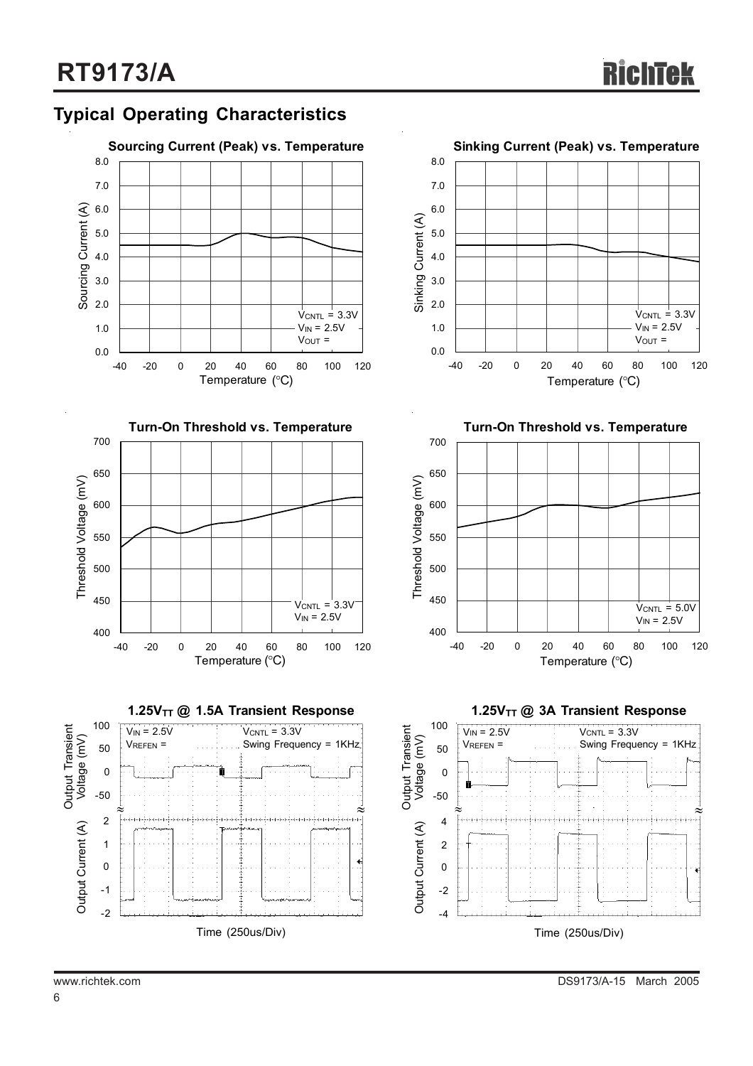## **Typical Operating Characteristics**











**Turn-On Threshold vs. Temperature**



1.25V<sub>TT</sub> @ 3A Transient Response

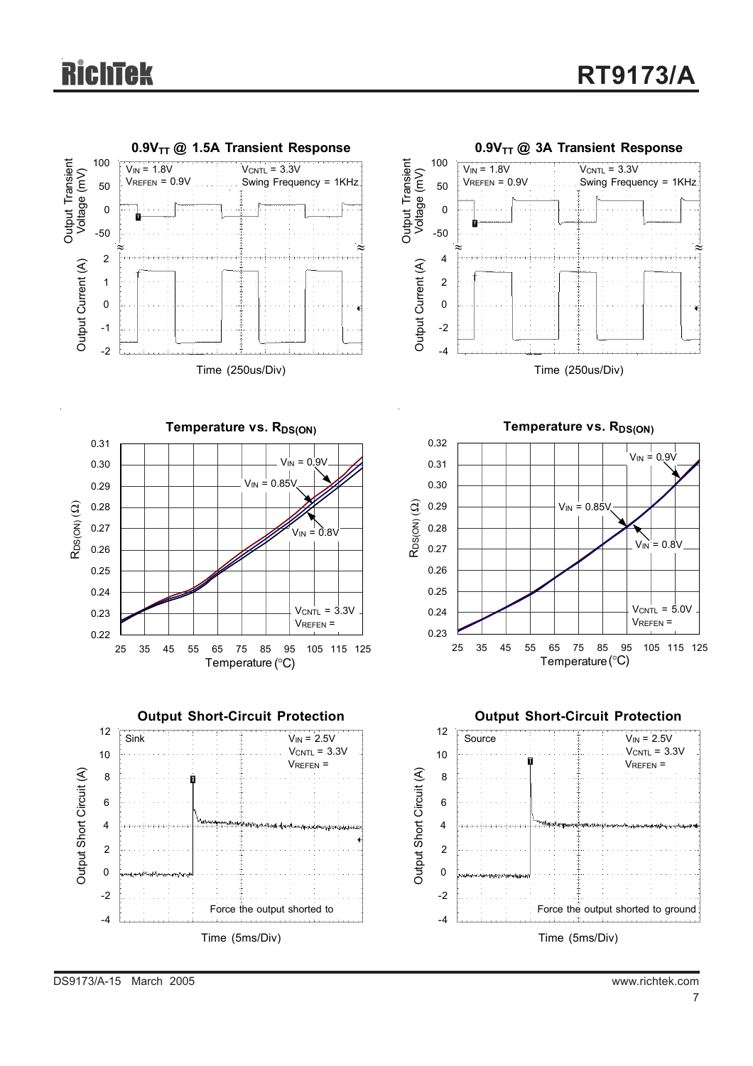# **RichTek**



DS9173/A-15 March 2005 www.richtek.com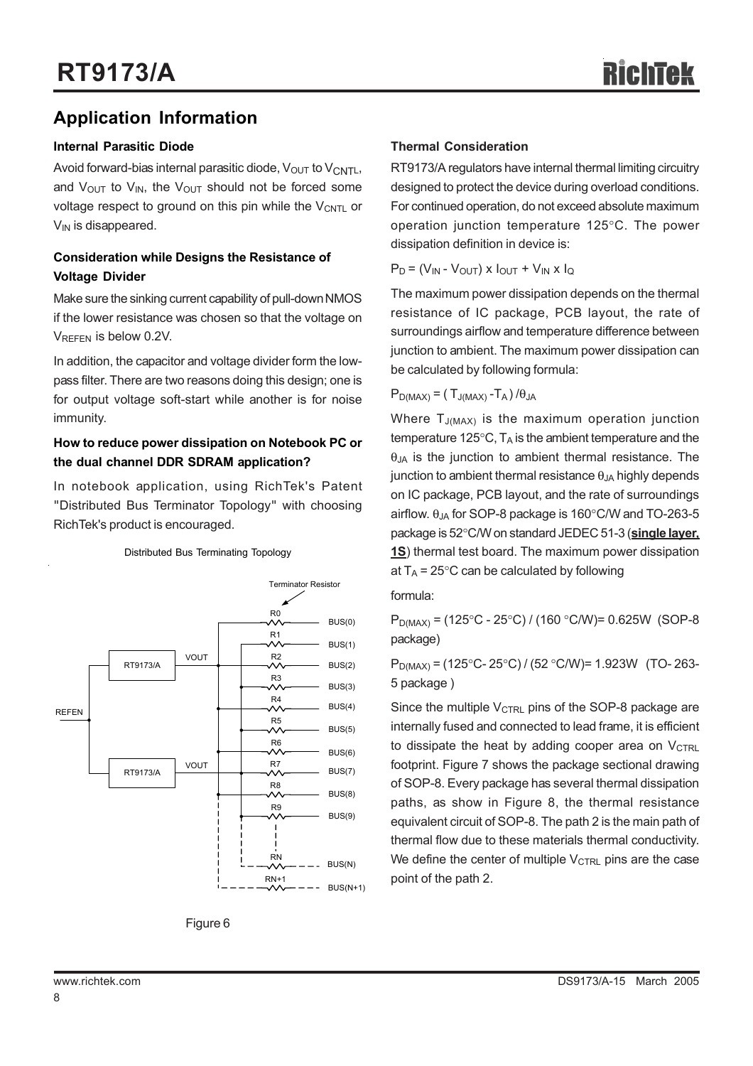## **Application Information**

### **Internal Parasitic Diode**

Avoid forward-bias internal parasitic diode,  $V_{\text{OUT}}$  to  $V_{\text{CNTL}}$ , and  $V_{\text{OUT}}$  to  $V_{\text{IN}}$ , the  $V_{\text{OUT}}$  should not be forced some voltage respect to ground on this pin while the  $V_{\text{CNTL}}$  or  $V_{IN}$  is disappeared.

### **Consideration while Designs the Resistance of Voltage Divider**

Make sure the sinking current capability of pull-down NMOS if the lower resistance was chosen so that the voltage on VREFEN is below 0.2V.

In addition, the capacitor and voltage divider form the lowpass filter. There are two reasons doing this design; one is for output voltage soft-start while another is for noise immunity.

### **How to reduce power dissipation on Notebook PC or the dual channel DDR SDRAM application?**

In notebook application, using RichTek's Patent "Distributed Bus Terminator Topology" with choosing RichTek's product is encouraged.



### Distributed Bus Terminating Topology



### **Thermal Consideration**

RT9173/A regulators have internal thermal limiting circuitry designed to protect the device during overload conditions. For continued operation, do not exceed absolute maximum operation junction temperature 125°C. The power dissipation definition in device is:

 $P_D = (V_{IN} - V_{OUT}) \times I_{OUT} + V_{IN} \times I_Q$ 

The maximum power dissipation depends on the thermal resistance of IC package, PCB layout, the rate of surroundings airflow and temperature difference between junction to ambient. The maximum power dissipation can be calculated by following formula:

 $P_{D(MAX)} = (T_{J(MAX)} - T_A) / \theta_{JA}$ 

Where T<sub>J(MAX)</sub> is the maximum operation junction temperature 125 $\degree$ C, T<sub>A</sub> is the ambient temperature and the  $\theta_{JA}$  is the junction to ambient thermal resistance. The junction to ambient thermal resistance  $\theta_{JA}$  highly depends on IC package, PCB layout, and the rate of surroundings airflow.  $\theta_{JA}$  for SOP-8 package is 160 $^{\circ}$ C/W and TO-263-5 package is 52°C/W on standard JEDEC 51-3 (**single layer, 1S**) thermal test board. The maximum power dissipation at  $T_A$  = 25°C can be calculated by following

formula:

 $P_{D(MAX)} = (125^{\circ}C - 25^{\circ}C) / (160^{\circ}C/W) = 0.625W$  (SOP-8 package)

 $P_{D(MAX)} = (125^{\circ}C - 25^{\circ}C) / (52^{\circ}C/W) = 1.923W$  (TO-263-5 package )

Since the multiple  $V_{\text{CTR}}$  pins of the SOP-8 package are internally fused and connected to lead frame, it is efficient to dissipate the heat by adding cooper area on  $V_{\text{CTRI}}$ footprint. Figure 7 shows the package sectional drawing of SOP-8. Every package has several thermal dissipation paths, as show in Figure 8, the thermal resistance equivalent circuit of SOP-8. The path 2 is the main path of thermal flow due to these materials thermal conductivity. We define the center of multiple  $V_{\text{CTRL}}$  pins are the case point of the path 2.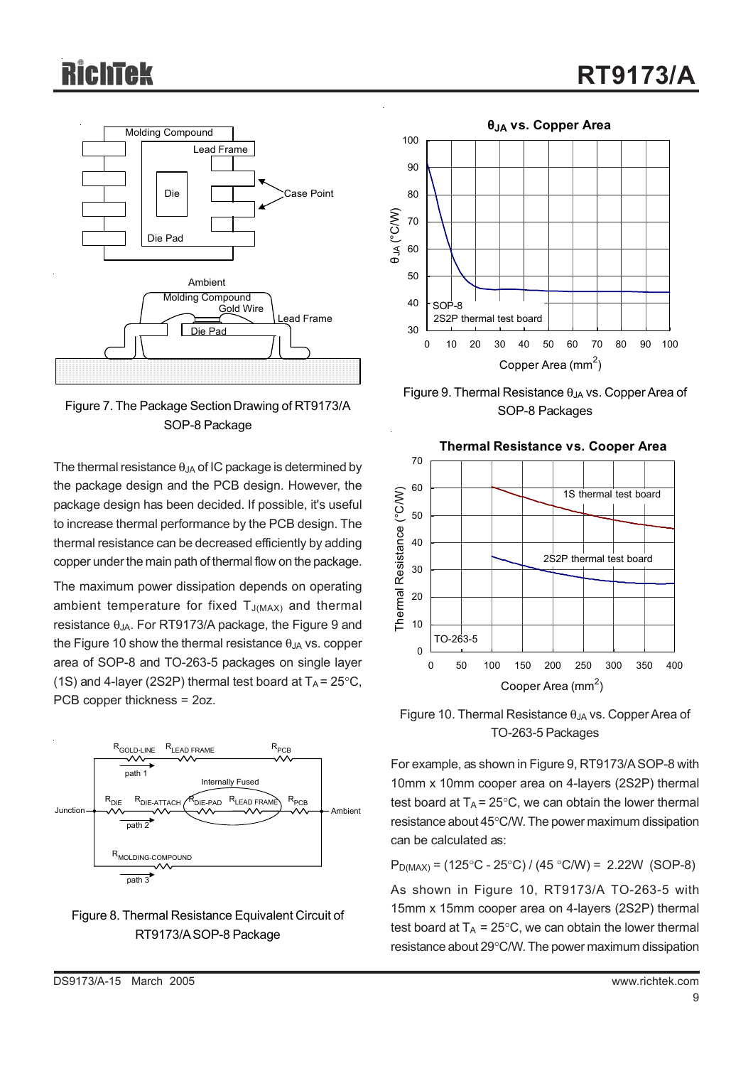

Figure 7. The Package Section Drawing of RT9173/A SOP-8 Package

The thermal resistance  $\theta$ <sub>JA</sub> of IC package is determined by the package design and the PCB design. However, the package design has been decided. If possible, it's useful to increase thermal performance by the PCB design. The thermal resistance can be decreased efficiently by adding copper under the main path of thermal flow on the package.

The maximum power dissipation depends on operating ambient temperature for fixed  $T_{J(MAX)}$  and thermal resistance  $\theta_{JA}$ . For RT9173/A package, the Figure 9 and the Figure 10 show the thermal resistance  $\theta_{JA}$  vs. copper area of SOP-8 and TO-263-5 packages on single layer (1S) and 4-layer (2S2P) thermal test board at  $T_A = 25^{\circ}C$ , PCB copper thickness = 2oz.







Figure 9. Thermal Resistance  $\theta_{JA}$  vs. Copper Area of SOP-8 Packages



Figure 10. Thermal Resistance  $\theta_{JA}$  vs. Copper Area of TO-263-5 Packages

For example, as shown in Figure 9, RT9173/A SOP-8 with 10mm x 10mm cooper area on 4-layers (2S2P) thermal test board at  $T_A = 25^{\circ}$ C, we can obtain the lower thermal resistance about 45°C/W. The power maximum dissipation can be calculated as:

 $P_{D(MAX)} = (125^{\circ}C - 25^{\circ}C) / (45^{\circ}C/W) = 2.22W$  (SOP-8) As shown in Figure 10, RT9173/A TO-263-5 with 15mm x 15mm cooper area on 4-layers (2S2P) thermal test board at  $T_A = 25^{\circ}C$ , we can obtain the lower thermal resistance about 29°C/W. The power maximum dissipation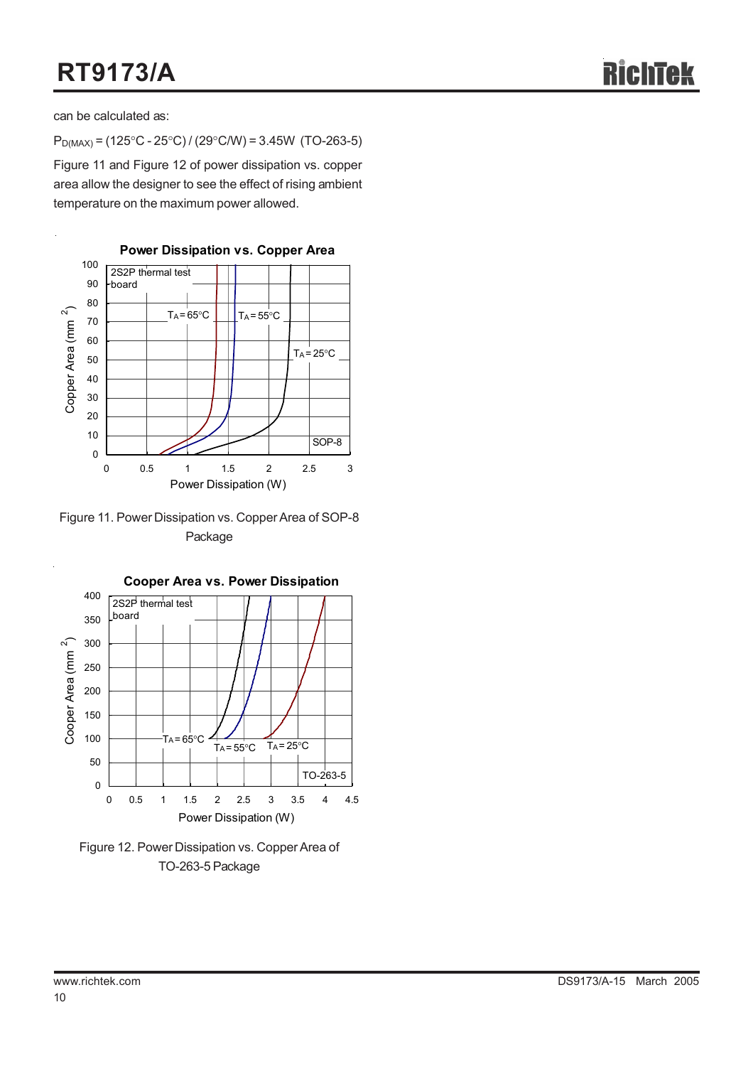can be calculated as:

 $P_{D(MAX)} = (125^{\circ}C - 25^{\circ}C) / (29^{\circ}C/W) = 3.45W (TO-263-5)$ 

Figure 11 and Figure 12 of power dissipation vs. copper area allow the designer to see the effect of rising ambient temperature on the maximum power allowed.



Figure 11. Power Dissipation vs. Copper Area of SOP-8 Package



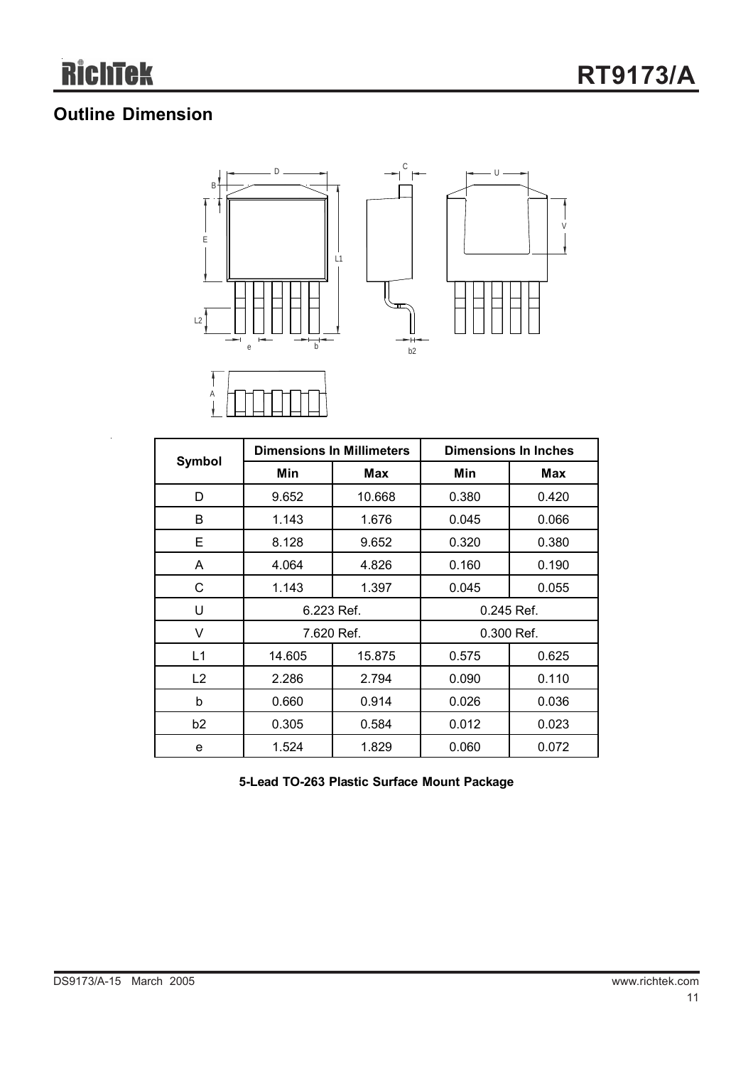## **Outline Dimension**

 $\overline{a}$ 





|                | <b>Dimensions In Millimeters</b> |        | <b>Dimensions In Inches</b> |       |  |
|----------------|----------------------------------|--------|-----------------------------|-------|--|
| Symbol         | Min                              | Max    | Min                         | Max   |  |
| D              | 9.652                            | 10.668 | 0.380                       | 0.420 |  |
| B              | 1.143                            | 1.676  | 0.045                       | 0.066 |  |
| Е              | 8.128                            | 9.652  | 0.320                       | 0.380 |  |
| A              | 4.064                            | 4.826  | 0.160                       | 0.190 |  |
| С              | 1.143                            | 1.397  | 0.045                       | 0.055 |  |
| U              | 6.223 Ref.                       |        | $0.245$ Ref.                |       |  |
| v              | 7.620 Ref.                       |        | 0.300 Ref.                  |       |  |
| L1             | 14.605                           | 15.875 | 0.575                       | 0.625 |  |
| L <sub>2</sub> | 2.286                            | 2.794  | 0.090                       | 0.110 |  |
| b              | 0.660                            | 0.914  | 0.026                       | 0.036 |  |
| b <sub>2</sub> | 0.305                            | 0.584  | 0.012                       | 0.023 |  |
| e              | 1.524                            | 1.829  | 0.060                       | 0.072 |  |

**5-Lead TO-263 Plastic Surface Mount Package**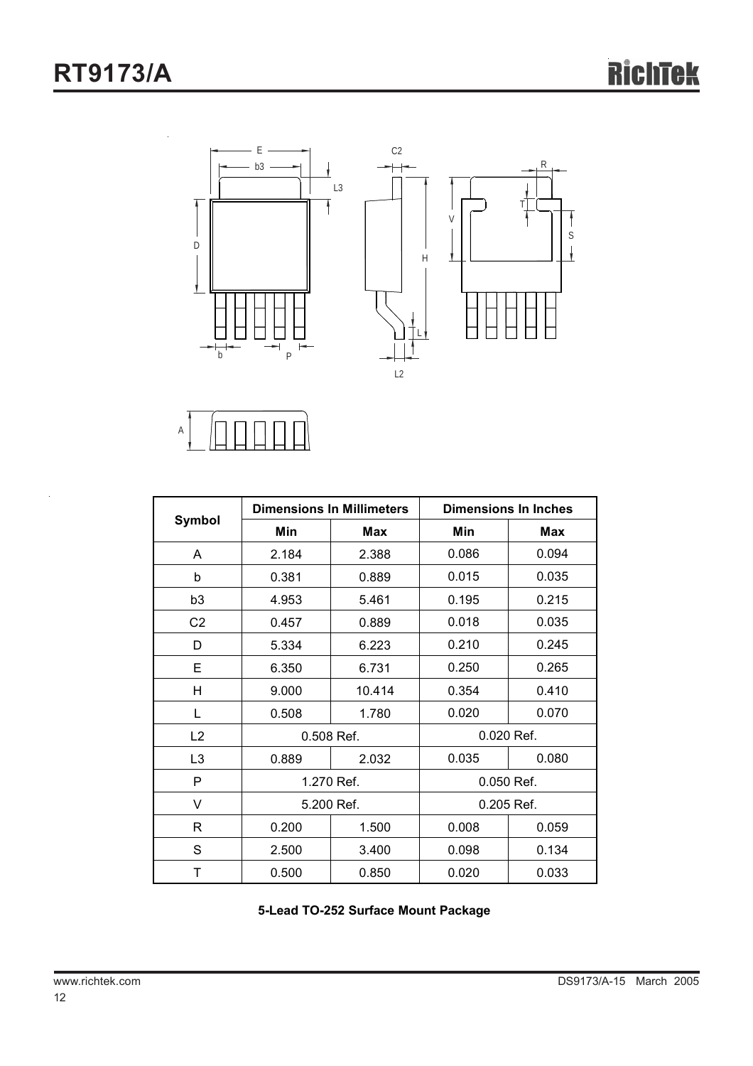

A

|                |            | <b>Dimensions In Millimeters</b> | <b>Dimensions In Inches</b> |       |  |
|----------------|------------|----------------------------------|-----------------------------|-------|--|
| <b>Symbol</b>  | Min        | Max                              | Min                         | Max   |  |
| A              | 2.184      | 2.388                            | 0.086                       | 0.094 |  |
| b              | 0.381      | 0.889                            | 0.015                       | 0.035 |  |
| b <sub>3</sub> | 4.953      | 5.461                            | 0.195                       | 0.215 |  |
| C <sub>2</sub> | 0.457      | 0.889                            | 0.018                       | 0.035 |  |
| D              | 5.334      | 6.223                            | 0.210                       | 0.245 |  |
| Е              | 6.350      | 6.731                            | 0.250                       | 0.265 |  |
| н              | 9.000      | 10.414                           | 0.354                       | 0.410 |  |
| L              | 0.508      | 1.780                            | 0.020                       | 0.070 |  |
| L2             | 0.508 Ref. |                                  | 0.020 Ref.                  |       |  |
| L <sub>3</sub> | 0.889      | 2.032                            | 0.035                       | 0.080 |  |
| P              |            | 1.270 Ref.                       | 0.050 Ref.                  |       |  |
| V              | 5.200 Ref. |                                  | 0.205 Ref.                  |       |  |
| R              | 0.200      | 1.500                            | 0.008                       | 0.059 |  |
| S              | 2.500      | 3.400                            | 0.098                       | 0.134 |  |
| Τ              | 0.500      | 0.850                            | 0.020                       | 0.033 |  |

**5-Lead TO-252 Surface Mount Package**

 $\bar{z}$